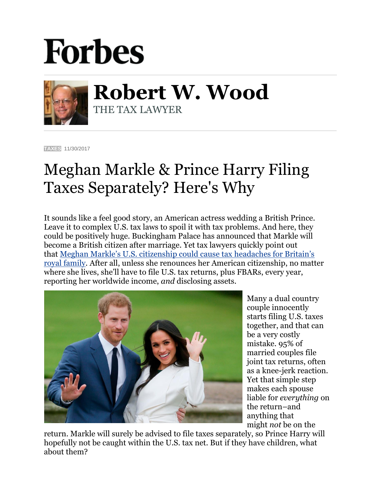## **Forbes**



**Robert W. Wood** THE TAX LAWYER

**[TAXES](https://www.forbes.com/taxes)** 11/30/2017

## Meghan Markle & Prince Harry Filing Taxes Separately? Here's Why

It sounds like a feel good story, an American actress wedding a British Prince. Leave it to complex U.S. tax laws to spoil it with tax problems. And here, they could be positively huge. Buckingham Palace has announced that Markle will become a British citizen after marriage. Yet tax lawyers quickly point out that [Meghan Markle's U.S. citizenship could cause tax headaches for Britain's](https://www.washingtonpost.com/news/worldviews/wp/2017/11/28/meghan-markles-u-s-citizenship-could-cause-tax-headaches-for-british-royal-family/?utm_term=.6f156f486b1c)  [royal family.](https://www.washingtonpost.com/news/worldviews/wp/2017/11/28/meghan-markles-u-s-citizenship-could-cause-tax-headaches-for-british-royal-family/?utm_term=.6f156f486b1c) After all, unless she renounces her American citizenship, no matter where she lives, she'll have to file U.S. tax returns, plus FBARs, every year, reporting her worldwide income, *and* disclosing assets.



Many a dual country couple innocently starts filing U.S. taxes together, and that can be a very costly mistake. 95% of married couples file joint tax returns, often as a knee-jerk reaction. Yet that simple step makes each spouse liable for *everything* on the return–and anything that might *not* be on the

return. Markle will surely be advised to file taxes separately, so Prince Harry will hopefully not be caught within the U.S. tax net. But if they have children, what about them?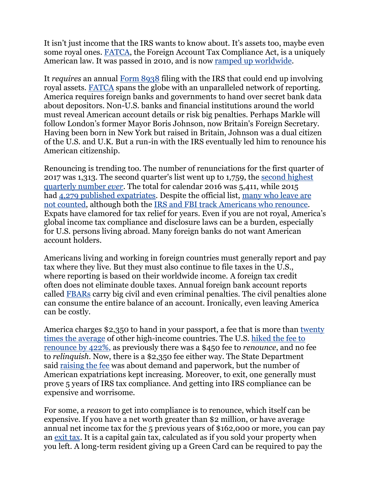It isn't just income that the IRS wants to know about. It's assets too, maybe even some royal ones. [FATCA,](http://www.irs.gov/businesses/corporations/article/0,,id=236667,00.html) the Foreign Account Tax Compliance Act, is a uniquely American law. It was passed in 2010, and is now [ramped up worldwide.](http://www.forbes.com/sites/robertwood/2013/09/24/fatcas-bleak-choices-for-accounts-income-disclosure/)

It *requires* an annual [Form 8938](https://www.irs.gov/uac/form-8938-statement-of-foreign-financial-assets) filing with the IRS that could end up involving royal assets. [FATCA](http://www.irs.gov/businesses/corporations/article/0,,id=236667,00.html) spans the globe with an unparalleled network of reporting. America requires foreign banks and governments to hand over secret bank data about depositors. Non-U.S. banks and financial institutions around the world must reveal American account details or risk big penalties. Perhaps Markle will follow London's former Mayor Boris Johnson, now Britain's Foreign Secretary. Having been born in New York but raised in Britain, Johnson was a dual citizen of the U.S. and U.K. But a run-in with the IRS eventually led him to renounce his American citizenship.

Renouncing is trending too. The number of renunciations for the first quarter of 2017 was 1,313. The second quarter's list went up to 1,759, the [second highest](http://intltax.typepad.com/intltax_blog/2017/08/2017-second-quarter-published-expatriates-second-highest-ever.html)  [quarterly number](http://intltax.typepad.com/intltax_blog/2017/08/2017-second-quarter-published-expatriates-second-highest-ever.html) *ever*. The total for calendar 2016 was 5,411, while 2015 had [4,279 published expatriates.](http://intltax.typepad.com/intltax_blog/2016/02/new-expatriate-record-2015-nearly-4300-expatriations.html) Despite the official list, many [who leave are](http://www.forbes.com/sites/robertwood/2014/05/03/americans-are-renouncing-citizenship-at-record-pace-and-many-arent-even-counted/)  not [counted,](http://www.forbes.com/sites/robertwood/2014/05/03/americans-are-renouncing-citizenship-at-record-pace-and-many-arent-even-counted/) although both the [IRS and FBI track Americans who renounce.](http://www.forbes.com/sites/robertwood/2015/09/21/irs-and-fbi-track-americans-who-renounce-citizenship-why-is-fbi-list-longer/#38baa14c2f84) Expats have clamored for tax relief for years. Even if you are not royal, America's global income tax compliance and disclosure laws can be a burden, especially for U.S. persons living abroad. Many foreign banks do not want American account holders.

Americans living and working in foreign countries must generally report and pay tax where they live. But they must also continue to file taxes in the U.S., where reporting is based on their worldwide income. A foreign tax credit often does not eliminate double taxes. Annual foreign bank account reports called [FBARs](http://www.irs.gov/Businesses/Small-Businesses-&-Self-Employed/Report-of-Foreign-Bank-and-Financial-Accounts-FBAR) carry big civil and even criminal penalties. The civil penalties alone can consume the entire balance of an account. Ironically, even leaving America can be costly.

America charges \$2,350 to hand in your passport, a fee that is more than [twenty](http://isaacbrocksociety.ca/2014/08/22/comparison-of-fees-and-procedures-for-renouncing-citizenship-in-various-countries/comment-page-1/)  [times the average](http://isaacbrocksociety.ca/2014/08/22/comparison-of-fees-and-procedures-for-renouncing-citizenship-in-various-countries/comment-page-1/) of other high-income countries. The U.S. [hiked the](http://www.forbes.com/sites/robertwood/2014/08/28/u-s-hikes-fee-to-renounce-citizenship-by-422/) fee to [renounce by 422%,](http://www.forbes.com/sites/robertwood/2014/08/28/u-s-hikes-fee-to-renounce-citizenship-by-422/) as previously there was a \$450 fee to *renounce*, and no fee to *relinquish*. Now, there is a \$2,350 fee either way. The State Department said [raising the fee](https://www.federalregister.gov/articles/2014/08/28/2014-20516/schedule-of-fees-for-consular-services-department-of-state-and-overseas-embassies-and#p-amd-2) was about demand and paperwork, but the number of American expatriations kept increasing. Moreover, to exit, one generally must prove 5 years of IRS tax compliance. And getting into IRS compliance can be expensive and worrisome.

For some, a *reason* to get into compliance is to renounce, which itself can be expensive. If you have a net worth greater than \$2 million, or have average annual net income tax for the 5 previous years of \$162,000 or more, you can pay an [exit tax.](http://www.irs.gov/Individuals/International-Taxpayers/Expatriation-Tax) It is a capital gain tax, calculated as if you sold your property when you left. A long-term resident giving up a Green Card can be required to pay the